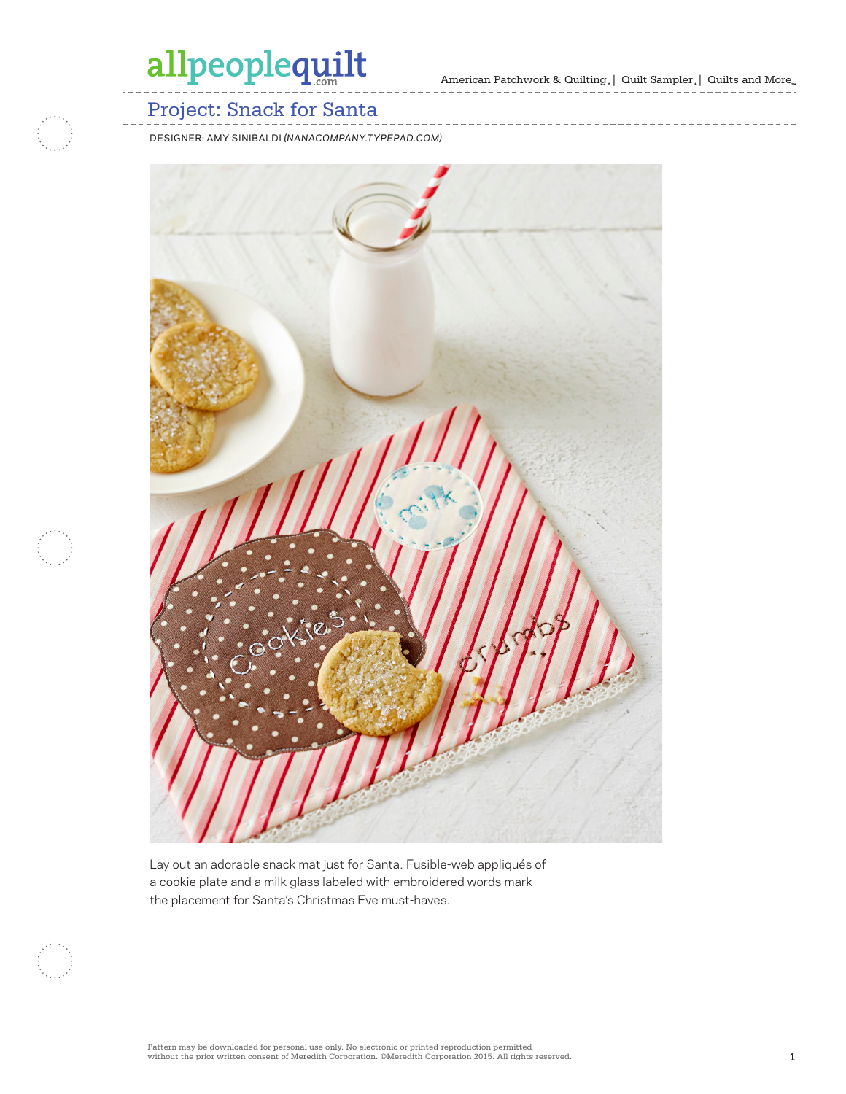American Patchwork & Quilting  $_{\circ} \vert \;$  Quilt Sampler  $_{\circ} \vert \;$  Quilts and More  $_{\circ} \;$ 



### Project: Snack for Santa

DESIGNER: AMY SINIBALDI *(NANACOMPANY.TYPEPAD.COM)*



Lay out an adorable snack mat just for Santa. Fusible-web appliqués of a cookie plate and a milk glass labeled with embroidered words mark the placement for Santa's Christmas Eve must-haves.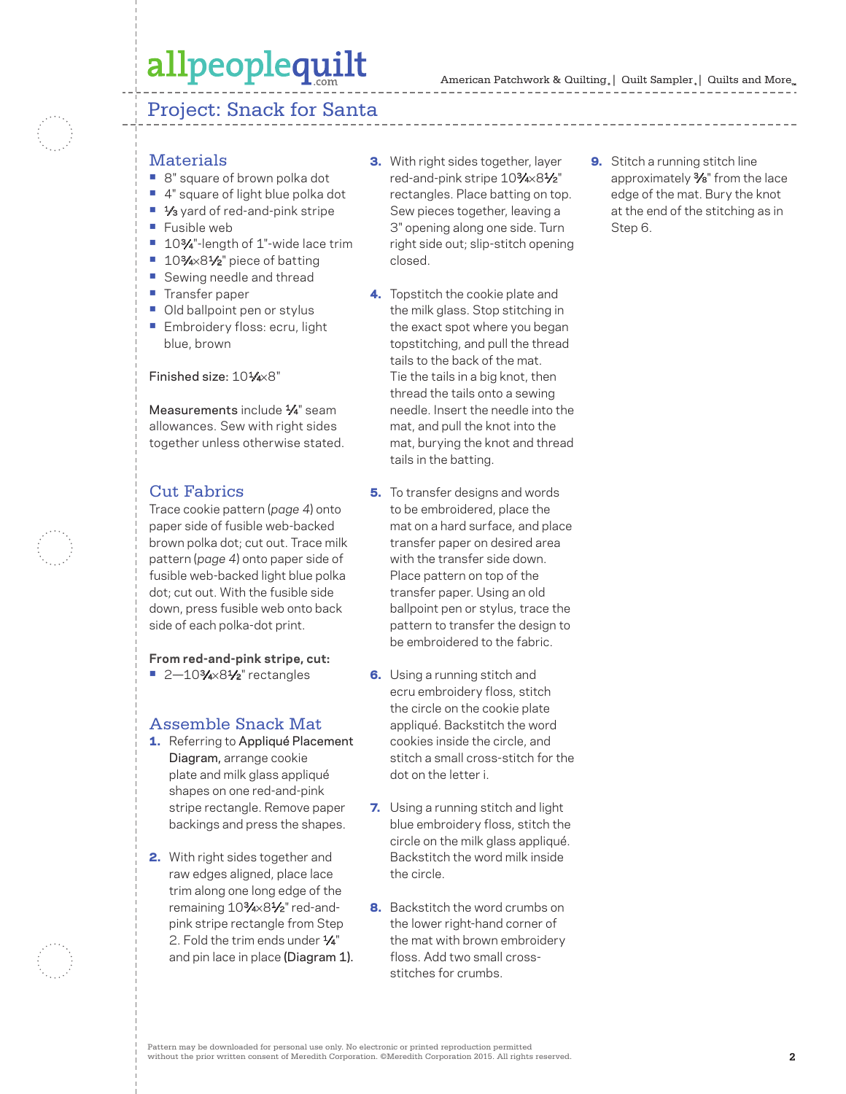#### Project: Snack for Santa

#### **Materials**

- **•** 8" square of brown polka dot
- **•** 4" square of light blue polka dot
- 1⁄<sub>3</sub> yard of red-and-pink stripe
- **•** Fusible web
- 10<sup>3</sup>⁄4"-length of 1"-wide lace trim
- 10<sup>3</sup>⁄4×8½<sup>"</sup> piece of batting
- **•** Sewing needle and thread
- **•** Transfer paper
- **•** Old ballpoint pen or stylus
- **•** Embroidery floss: ecru, light blue, brown

#### Finished size: 101/4×8"

Measurements include 1/4" seam allowances. Sew with right sides together unless otherwise stated.

### Cut Fabrics

Trace cookie pattern (*page 4*) onto paper side of fusible web-backed brown polka dot; cut out. Trace milk pattern (*page 4*) onto paper side of fusible web-backed light blue polka dot; cut out. With the fusible side down, press fusible web onto back side of each polka-dot print.

**From red-and-pink stripe, cut:** ■ 2-10<sup>3</sup>⁄4×8<sup>1</sup>/<sub>2</sub>" rectangles

#### Assemble Snack Mat

- 1. Referring to Appliqué Placement Diagram, arrange cookie plate and milk glass appliqué shapes on one red-and-pink stripe rectangle. Remove paper backings and press the shapes.
- 2. With right sides together and raw edges aligned, place lace trim along one long edge of the remaining 103⁄4×81⁄2" red-andpink stripe rectangle from Step 2. Fold the trim ends under  $\frac{1}{4}$ " and pin lace in place (Diagram 1).
- **3.** With right sides together, layer red-and-pink stripe 103⁄4×81⁄2" rectangles. Place batting on top. Sew pieces together, leaving a 3" opening along one side. Turn right side out; slip-stitch opening closed.
- 4. Topstitch the cookie plate and the milk glass. Stop stitching in the exact spot where you began topstitching, and pull the thread tails to the back of the mat. Tie the tails in a big knot, then thread the tails onto a sewing needle. Insert the needle into the mat, and pull the knot into the mat, burying the knot and thread tails in the batting.
- **5.** To transfer designs and words to be embroidered, place the mat on a hard surface, and place transfer paper on desired area with the transfer side down. Place pattern on top of the transfer paper. Using an old ballpoint pen or stylus, trace the pattern to transfer the design to be embroidered to the fabric.
- **6.** Using a running stitch and ecru embroidery floss, stitch the circle on the cookie plate appliqué. Backstitch the word cookies inside the circle, and stitch a small cross-stitch for the dot on the letter i.
- 7. Using a running stitch and light blue embroidery floss, stitch the circle on the milk glass appliqué. Backstitch the word milk inside the circle.
- 8. Backstitch the word crumbs on the lower right-hand corner of the mat with brown embroidery floss. Add two small crossstitches for crumbs.

**9.** Stitch a running stitch line approximately 3⁄8" from the lace edge of the mat. Bury the knot at the end of the stitching as in Step 6.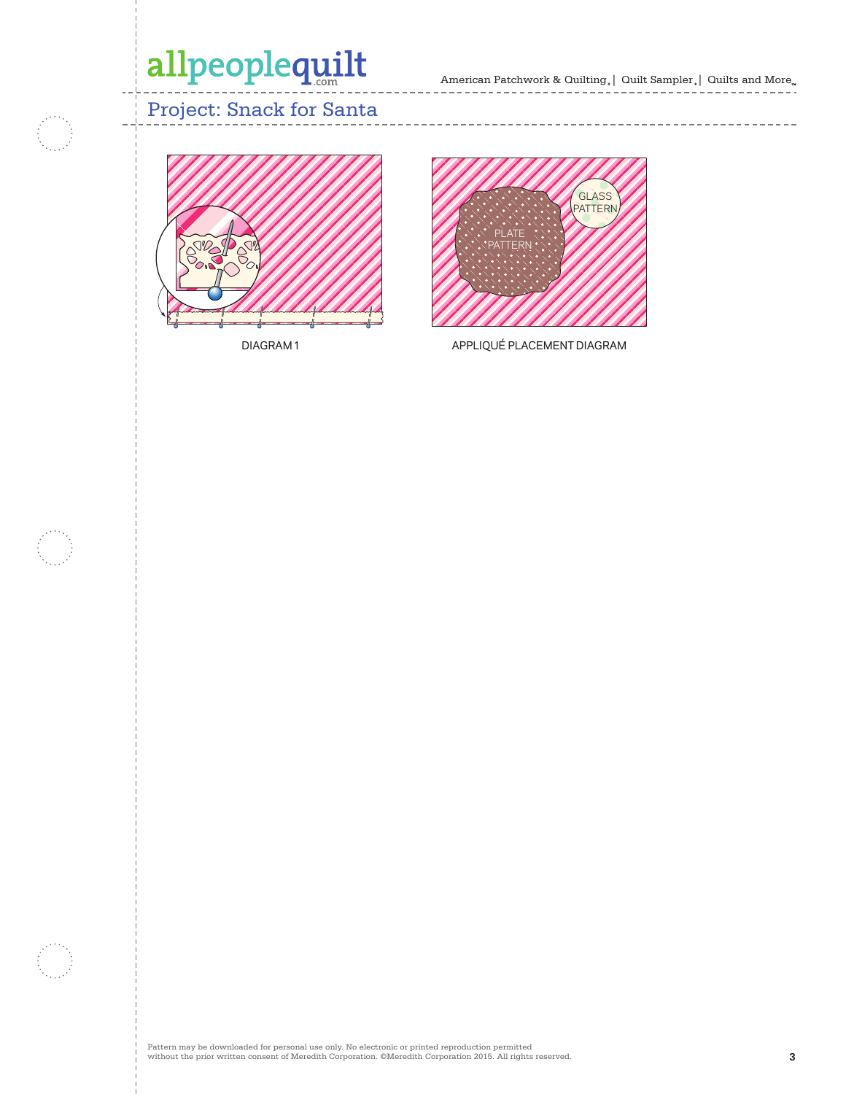American Patchwork & Quilting,  $|$  Quilt Sampler,  $|$  Quilts and More $_{\textrm{\tiny{m}}}$ --------------- $- - - - -$ 

 $- -$ 

---------------

### Project: Snack for Santa



DIAGRAM 1



APPLIQUÉ PLACEMENT DIAGRAM